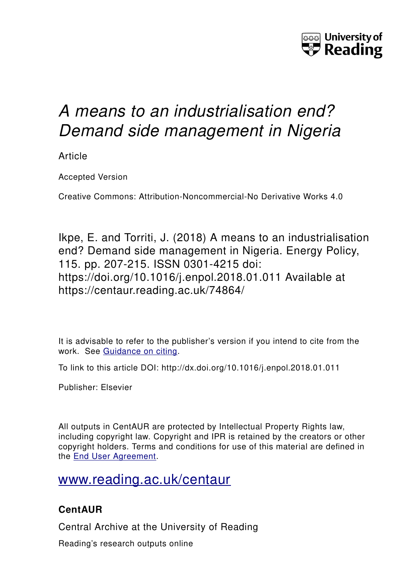

# *A means to an industrialisation end? Demand side management in Nigeria*

Article

Accepted Version

Creative Commons: Attribution-Noncommercial-No Derivative Works 4.0

Ikpe, E. and Torriti, J. (2018) A means to an industrialisation end? Demand side management in Nigeria. Energy Policy, 115. pp. 207-215. ISSN 0301-4215 doi: https://doi.org/10.1016/j.enpol.2018.01.011 Available at https://centaur.reading.ac.uk/74864/

It is advisable to refer to the publisher's version if you intend to cite from the work. See [Guidance on citing.](http://centaur.reading.ac.uk/71187/10/CentAUR%20citing%20guide.pdf)

To link to this article DOI: http://dx.doi.org/10.1016/j.enpol.2018.01.011

Publisher: Elsevier

All outputs in CentAUR are protected by Intellectual Property Rights law, including copyright law. Copyright and IPR is retained by the creators or other copyright holders. Terms and conditions for use of this material are defined in the [End User Agreement.](http://centaur.reading.ac.uk/licence)

## [www.reading.ac.uk/centaur](http://www.reading.ac.uk/centaur)

### **CentAUR**

Central Archive at the University of Reading

Reading's research outputs online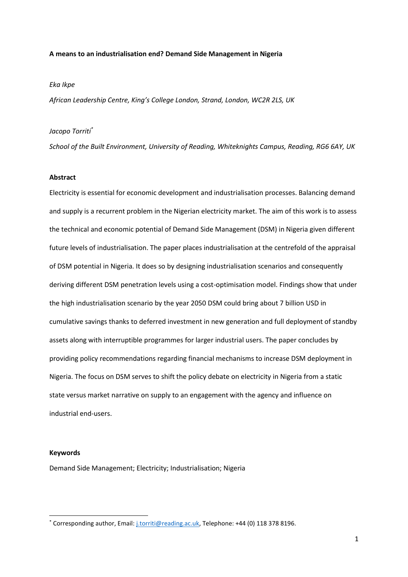#### **A means to an industrialisation end? Demand Side Management in Nigeria**

#### *Eka Ikpe*

*African Leadership Centre, King's College London, Strand, London, WC2R 2LS, UK*

#### *Jacopo Torriti\**

*School of the Built Environment, University of Reading, Whiteknights Campus, Reading, RG6 6AY, UK*

#### **Abstract**

Electricity is essential for economic development and industrialisation processes. Balancing demand and supply is a recurrent problem in the Nigerian electricity market. The aim of this work is to assess the technical and economic potential of Demand Side Management (DSM) in Nigeria given different future levels of industrialisation. The paper places industrialisation at the centrefold of the appraisal of DSM potential in Nigeria. It does so by designing industrialisation scenarios and consequently deriving different DSM penetration levels using a cost-optimisation model. Findings show that under the high industrialisation scenario by the year 2050 DSM could bring about 7 billion USD in cumulative savings thanks to deferred investment in new generation and full deployment of standby assets along with interruptible programmes for larger industrial users. The paper concludes by providing policy recommendations regarding financial mechanisms to increase DSM deployment in Nigeria. The focus on DSM serves to shift the policy debate on electricity in Nigeria from a static state versus market narrative on supply to an engagement with the agency and influence on industrial end-users.

#### **Keywords**

**.** 

Demand Side Management; Electricity; Industrialisation; Nigeria

<sup>\*</sup> Corresponding author, Email: [j.torriti@reading.ac.uk,](mailto:j.torriti@reading.ac.uk) Telephone: +44 (0) 118 378 8196.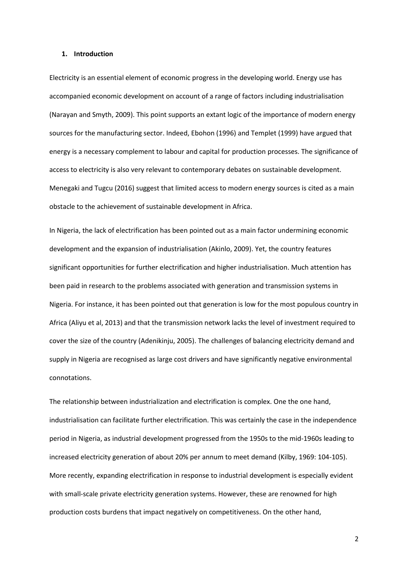#### **1. Introduction**

Electricity is an essential element of economic progress in the developing world. Energy use has accompanied economic development on account of a range of factors including industrialisation (Narayan and Smyth, 2009). This point supports an extant logic of the importance of modern energy sources for the manufacturing sector. Indeed, Ebohon (1996) and Templet (1999) have argued that energy is a necessary complement to labour and capital for production processes. The significance of access to electricity is also very relevant to contemporary debates on sustainable development. Menegaki and Tugcu (2016) suggest that limited access to modern energy sources is cited as a main obstacle to the achievement of sustainable development in Africa.

In Nigeria, the lack of electrification has been pointed out as a main factor undermining economic development and the expansion of industrialisation (Akinlo, 2009). Yet, the country features significant opportunities for further electrification and higher industrialisation. Much attention has been paid in research to the problems associated with generation and transmission systems in Nigeria. For instance, it has been pointed out that generation is low for the most populous country in Africa (Aliyu et al, 2013) and that the transmission network lacks the level of investment required to cover the size of the country (Adenikinju, 2005). The challenges of balancing electricity demand and supply in Nigeria are recognised as large cost drivers and have significantly negative environmental connotations.

The relationship between industrialization and electrification is complex. One the one hand, industrialisation can facilitate further electrification. This was certainly the case in the independence period in Nigeria, as industrial development progressed from the 1950s to the mid-1960s leading to increased electricity generation of about 20% per annum to meet demand (Kilby, 1969: 104-105). More recently, expanding electrification in response to industrial development is especially evident with small-scale private electricity generation systems. However, these are renowned for high production costs burdens that impact negatively on competitiveness. On the other hand,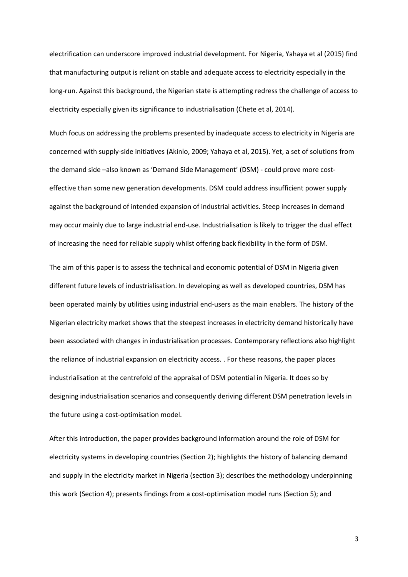electrification can underscore improved industrial development. For Nigeria, Yahaya et al (2015) find that manufacturing output is reliant on stable and adequate access to electricity especially in the long-run. Against this background, the Nigerian state is attempting redress the challenge of access to electricity especially given its significance to industrialisation (Chete et al, 2014).

Much focus on addressing the problems presented by inadequate access to electricity in Nigeria are concerned with supply-side initiatives (Akinlo, 2009; Yahaya et al, 2015). Yet, a set of solutions from the demand side –also known as 'Demand Side Management' (DSM) - could prove more costeffective than some new generation developments. DSM could address insufficient power supply against the background of intended expansion of industrial activities. Steep increases in demand may occur mainly due to large industrial end-use. Industrialisation is likely to trigger the dual effect of increasing the need for reliable supply whilst offering back flexibility in the form of DSM.

The aim of this paper is to assess the technical and economic potential of DSM in Nigeria given different future levels of industrialisation. In developing as well as developed countries, DSM has been operated mainly by utilities using industrial end-users as the main enablers. The history of the Nigerian electricity market shows that the steepest increases in electricity demand historically have been associated with changes in industrialisation processes. Contemporary reflections also highlight the reliance of industrial expansion on electricity access. . For these reasons, the paper places industrialisation at the centrefold of the appraisal of DSM potential in Nigeria. It does so by designing industrialisation scenarios and consequently deriving different DSM penetration levels in the future using a cost-optimisation model.

After this introduction, the paper provides background information around the role of DSM for electricity systems in developing countries (Section 2); highlights the history of balancing demand and supply in the electricity market in Nigeria (section 3); describes the methodology underpinning this work (Section 4); presents findings from a cost-optimisation model runs (Section 5); and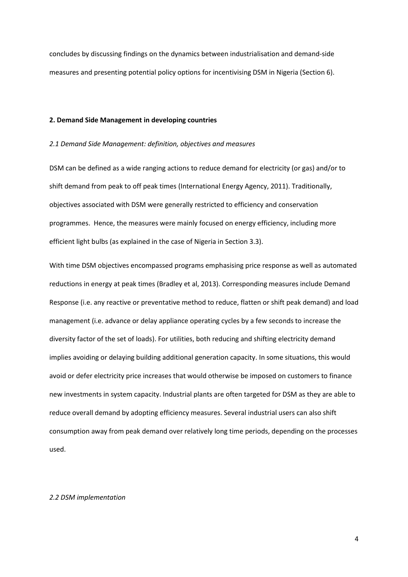concludes by discussing findings on the dynamics between industrialisation and demand-side measures and presenting potential policy options for incentivising DSM in Nigeria (Section 6).

#### **2. Demand Side Management in developing countries**

#### *2.1 Demand Side Management: definition, objectives and measures*

DSM can be defined as a wide ranging actions to reduce demand for electricity (or gas) and/or to shift demand from peak to off peak times (International Energy Agency, 2011). Traditionally, objectives associated with DSM were generally restricted to efficiency and conservation programmes. Hence, the measures were mainly focused on energy efficiency, including more efficient light bulbs (as explained in the case of Nigeria in Section 3.3).

With time DSM objectives encompassed programs emphasising price response as well as automated reductions in energy at peak times (Bradley et al, 2013). Corresponding measures include Demand Response (i.e. any reactive or preventative method to reduce, flatten or shift peak demand) and load management (i.e. advance or delay appliance operating cycles by a few seconds to increase the diversity factor of the set of loads). For utilities, both reducing and shifting electricity demand implies avoiding or delaying building additional generation capacity. In some situations, this would avoid or defer electricity price increases that would otherwise be imposed on customers to finance new investments in system capacity. Industrial plants are often targeted for DSM as they are able to reduce overall demand by adopting efficiency measures. Several industrial users can also shift consumption away from peak demand over relatively long time periods, depending on the processes used.

#### *2.2 DSM implementation*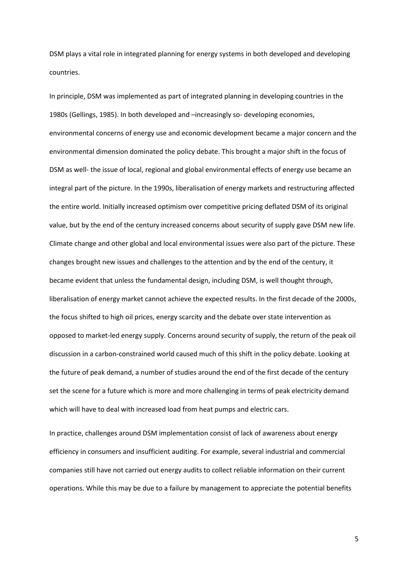DSM plays a vital role in integrated planning for energy systems in both developed and developing countries.

In principle, DSM was implemented as part of integrated planning in developing countries in the 1980s (Gellings, 1985). In both developed and –increasingly so- developing economies, environmental concerns of energy use and economic development became a major concern and the environmental dimension dominated the policy debate. This brought a major shift in the focus of DSM as well- the issue of local, regional and global environmental effects of energy use became an integral part of the picture. In the 1990s, liberalisation of energy markets and restructuring affected the entire world. Initially increased optimism over competitive pricing deflated DSM of its original value, but by the end of the century increased concerns about security of supply gave DSM new life. Climate change and other global and local environmental issues were also part of the picture. These changes brought new issues and challenges to the attention and by the end of the century, it became evident that unless the fundamental design, including DSM, is well thought through, liberalisation of energy market cannot achieve the expected results. In the first decade of the 2000s, the focus shifted to high oil prices, energy scarcity and the debate over state intervention as opposed to market-led energy supply. Concerns around security of supply, the return of the peak oil discussion in a carbon-constrained world caused much of this shift in the policy debate. Looking at the future of peak demand, a number of studies around the end of the first decade of the century set the scene for a future which is more and more challenging in terms of peak electricity demand which will have to deal with increased load from heat pumps and electric cars.

In practice, challenges around DSM implementation consist of lack of awareness about energy efficiency in consumers and insufficient auditing. For example, several industrial and commercial companies still have not carried out energy audits to collect reliable information on their current operations. While this may be due to a failure by management to appreciate the potential benefits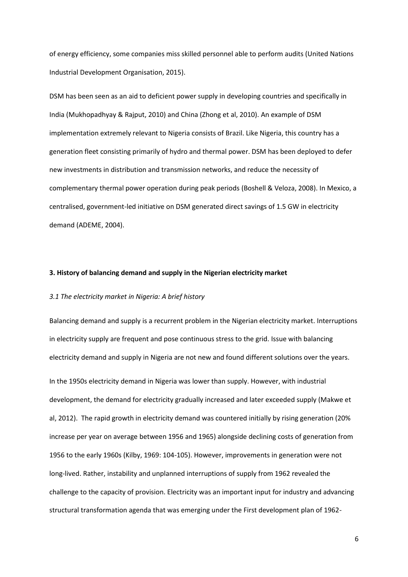of energy efficiency, some companies miss skilled personnel able to perform audits (United Nations Industrial Development Organisation, 2015).

DSM has been seen as an aid to deficient power supply in developing countries and specifically in India (Mukhopadhyay & Rajput, 2010) and China (Zhong et al, 2010). An example of DSM implementation extremely relevant to Nigeria consists of Brazil. Like Nigeria, this country has a generation fleet consisting primarily of hydro and thermal power. DSM has been deployed to defer new investments in distribution and transmission networks, and reduce the necessity of complementary thermal power operation during peak periods (Boshell & Veloza, 2008). In Mexico, a centralised, government-led initiative on DSM generated direct savings of 1.5 GW in electricity demand (ADEME, 2004).

#### **3. History of balancing demand and supply in the Nigerian electricity market**

#### *3.1 The electricity market in Nigeria: A brief history*

Balancing demand and supply is a recurrent problem in the Nigerian electricity market. Interruptions in electricity supply are frequent and pose continuous stress to the grid. Issue with balancing electricity demand and supply in Nigeria are not new and found different solutions over the years. In the 1950s electricity demand in Nigeria was lower than supply. However, with industrial development, the demand for electricity gradually increased and later exceeded supply (Makwe et al, 2012). The rapid growth in electricity demand was countered initially by rising generation (20% increase per year on average between 1956 and 1965) alongside declining costs of generation from 1956 to the early 1960s (Kilby, 1969: 104-105). However, improvements in generation were not long-lived. Rather, instability and unplanned interruptions of supply from 1962 revealed the challenge to the capacity of provision. Electricity was an important input for industry and advancing structural transformation agenda that was emerging under the First development plan of 1962-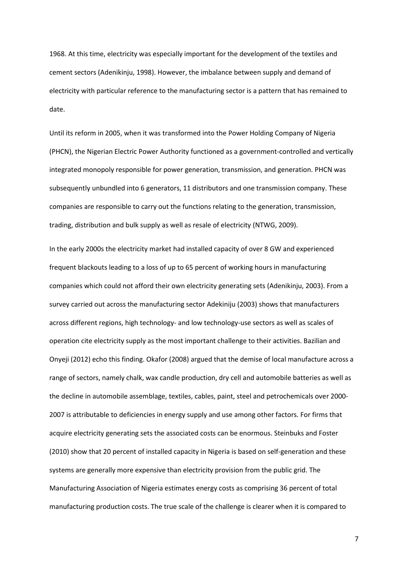1968. At this time, electricity was especially important for the development of the textiles and cement sectors (Adenikinju, 1998). However, the imbalance between supply and demand of electricity with particular reference to the manufacturing sector is a pattern that has remained to date.

Until its reform in 2005, when it was transformed into the Power Holding Company of Nigeria (PHCN), the Nigerian Electric Power Authority functioned as a government-controlled and vertically integrated monopoly responsible for power generation, transmission, and generation. PHCN was subsequently unbundled into 6 generators, 11 distributors and one transmission company. These companies are responsible to carry out the functions relating to the generation, transmission, trading, distribution and bulk supply as well as resale of electricity (NTWG, 2009).

In the early 2000s the electricity market had installed capacity of over 8 GW and experienced frequent blackouts leading to a loss of up to 65 percent of working hours in manufacturing companies which could not afford their own electricity generating sets (Adenikinju, 2003). From a survey carried out across the manufacturing sector Adekiniju (2003) shows that manufacturers across different regions, high technology- and low technology-use sectors as well as scales of operation cite electricity supply as the most important challenge to their activities. Bazilian and Onyeji (2012) echo this finding. Okafor (2008) argued that the demise of local manufacture across a range of sectors, namely chalk, wax candle production, dry cell and automobile batteries as well as the decline in automobile assemblage, textiles, cables, paint, steel and petrochemicals over 2000- 2007 is attributable to deficiencies in energy supply and use among other factors. For firms that acquire electricity generating sets the associated costs can be enormous. Steinbuks and Foster (2010) show that 20 percent of installed capacity in Nigeria is based on self-generation and these systems are generally more expensive than electricity provision from the public grid. The Manufacturing Association of Nigeria estimates energy costs as comprising 36 percent of total manufacturing production costs. The true scale of the challenge is clearer when it is compared to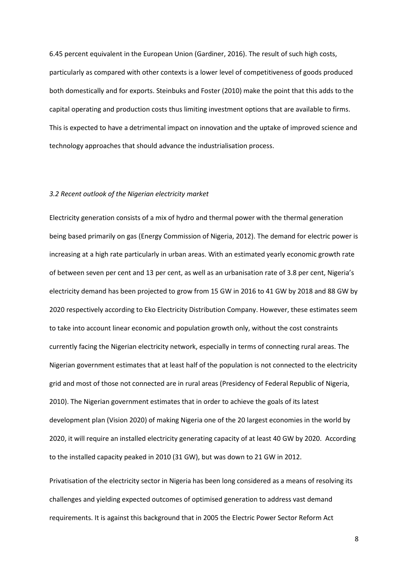6.45 percent equivalent in the European Union (Gardiner, 2016). The result of such high costs, particularly as compared with other contexts is a lower level of competitiveness of goods produced both domestically and for exports. Steinbuks and Foster (2010) make the point that this adds to the capital operating and production costs thus limiting investment options that are available to firms. This is expected to have a detrimental impact on innovation and the uptake of improved science and technology approaches that should advance the industrialisation process.

#### *3.2 Recent outlook of the Nigerian electricity market*

Electricity generation consists of a mix of hydro and thermal power with the thermal generation being based primarily on gas (Energy Commission of Nigeria, 2012). The demand for electric power is increasing at a high rate particularly in urban areas. With an estimated yearly economic growth rate of between seven per cent and 13 per cent, as well as an urbanisation rate of 3.8 per cent, Nigeria's electricity demand has been projected to grow from 15 GW in 2016 to 41 GW by 2018 and 88 GW by 2020 respectively according to Eko Electricity Distribution Company. However, these estimates seem to take into account linear economic and population growth only, without the cost constraints currently facing the Nigerian electricity network, especially in terms of connecting rural areas. The Nigerian government estimates that at least half of the population is not connected to the electricity grid and most of those not connected are in rural areas (Presidency of Federal Republic of Nigeria, 2010). The Nigerian government estimates that in order to achieve the goals of its latest development plan (Vision 2020) of making Nigeria one of the 20 largest economies in the world by 2020, it will require an installed electricity generating capacity of at least 40 GW by 2020. According to the installed capacity peaked in 2010 (31 GW), but was down to 21 GW in 2012.

Privatisation of the electricity sector in Nigeria has been long considered as a means of resolving its challenges and yielding expected outcomes of optimised generation to address vast demand requirements. It is against this background that in 2005 the Electric Power Sector Reform Act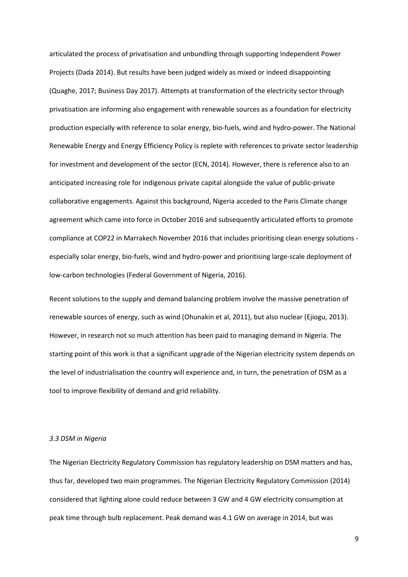articulated the process of privatisation and unbundling through supporting Independent Power Projects (Dada 2014). But results have been judged widely as mixed or indeed disappointing (Quaghe, 2017; Business Day 2017). Attempts at transformation of the electricity sector through privatisation are informing also engagement with renewable sources as a foundation for electricity production especially with reference to solar energy, bio-fuels, wind and hydro-power. The National Renewable Energy and Energy Efficiency Policy is replete with references to private sector leadership for investment and development of the sector (ECN, 2014). However, there is reference also to an anticipated increasing role for indigenous private capital alongside the value of public-private collaborative engagements. Against this background, Nigeria acceded to the Paris Climate change agreement which came into force in October 2016 and subsequently articulated efforts to promote compliance at COP22 in Marrakech November 2016 that includes prioritising clean energy solutions especially solar energy, bio-fuels, wind and hydro-power and prioritising large-scale deployment of low-carbon technologies (Federal Government of Nigeria, 2016).

Recent solutions to the supply and demand balancing problem involve the massive penetration of renewable sources of energy, such as wind (Ohunakin et al, 2011), but also nuclear (Ejiogu, 2013). However, in research not so much attention has been paid to managing demand in Nigeria. The starting point of this work is that a significant upgrade of the Nigerian electricity system depends on the level of industrialisation the country will experience and, in turn, the penetration of DSM as a tool to improve flexibility of demand and grid reliability.

#### *3.3 DSM in Nigeria*

The Nigerian Electricity Regulatory Commission has regulatory leadership on DSM matters and has, thus far, developed two main programmes. The Nigerian Electricity Regulatory Commission (2014) considered that lighting alone could reduce between 3 GW and 4 GW electricity consumption at peak time through bulb replacement. Peak demand was 4.1 GW on average in 2014, but was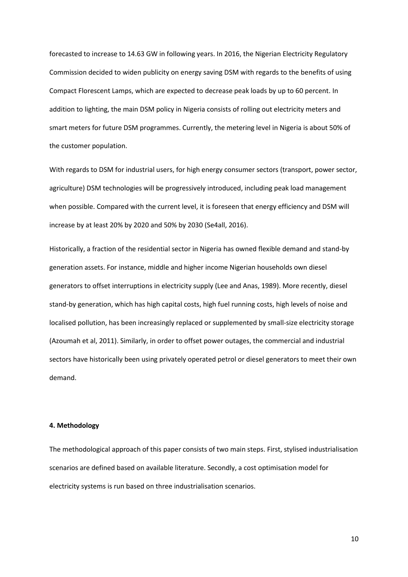forecasted to increase to 14.63 GW in following years. In 2016, the Nigerian Electricity Regulatory Commission decided to widen publicity on energy saving DSM with regards to the benefits of using Compact Florescent Lamps, which are expected to decrease peak loads by up to 60 percent. In addition to lighting, the main DSM policy in Nigeria consists of rolling out electricity meters and smart meters for future DSM programmes. Currently, the metering level in Nigeria is about 50% of the customer population.

With regards to DSM for industrial users, for high energy consumer sectors (transport, power sector, agriculture) DSM technologies will be progressively introduced, including peak load management when possible. Compared with the current level, it is foreseen that energy efficiency and DSM will increase by at least 20% by 2020 and 50% by 2030 (Se4all, 2016).

Historically, a fraction of the residential sector in Nigeria has owned flexible demand and stand-by generation assets. For instance, middle and higher income Nigerian households own diesel generators to offset interruptions in electricity supply (Lee and Anas, 1989). More recently, diesel stand-by generation, which has high capital costs, high fuel running costs, high levels of noise and localised pollution, has been increasingly replaced or supplemented by small-size electricity storage (Azoumah et al, 2011). Similarly, in order to offset power outages, the commercial and industrial sectors have historically been using privately operated petrol or diesel generators to meet their own demand.

#### **4. Methodology**

The methodological approach of this paper consists of two main steps. First, stylised industrialisation scenarios are defined based on available literature. Secondly, a cost optimisation model for electricity systems is run based on three industrialisation scenarios.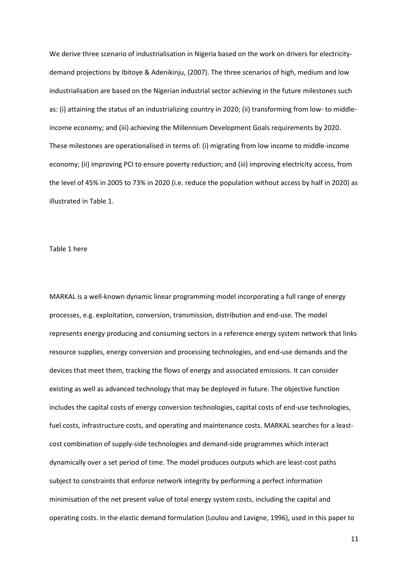We derive three scenario of industrialisation in Nigeria based on the work on drivers for electricitydemand projections by Ibitoye & Adenikinju, (2007). The three scenarios of high, medium and low industrialisation are based on the Nigerian industrial sector achieving in the future milestones such as: (i) attaining the status of an industrializing country in 2020; (ii) transforming from low- to middleincome economy; and (iii) achieving the Millennium Development Goals requirements by 2020. These milestones are operationalised in terms of: (i) migrating from low income to middle-income economy; (ii) improving PCI to ensure poverty reduction; and (iii) improving electricity access, from the level of 45% in 2005 to 73% in 2020 (i.e. reduce the population without access by half in 2020) as illustrated in Table 1.

#### Table 1 here

MARKAL is a well-known dynamic linear programming model incorporating a full range of energy processes, e.g. exploitation, conversion, transmission, distribution and end-use. The model represents energy producing and consuming sectors in a reference energy system network that links resource supplies, energy conversion and processing technologies, and end-use demands and the devices that meet them, tracking the flows of energy and associated emissions. It can consider existing as well as advanced technology that may be deployed in future. The objective function includes the capital costs of energy conversion technologies, capital costs of end-use technologies, fuel costs, infrastructure costs, and operating and maintenance costs. MARKAL searches for a leastcost combination of supply-side technologies and demand-side programmes which interact dynamically over a set period of time. The model produces outputs which are least-cost paths subject to constraints that enforce network integrity by performing a perfect information minimisation of the net present value of total energy system costs, including the capital and operating costs. In the elastic demand formulation (Loulou and Lavigne, 1996), used in this paper to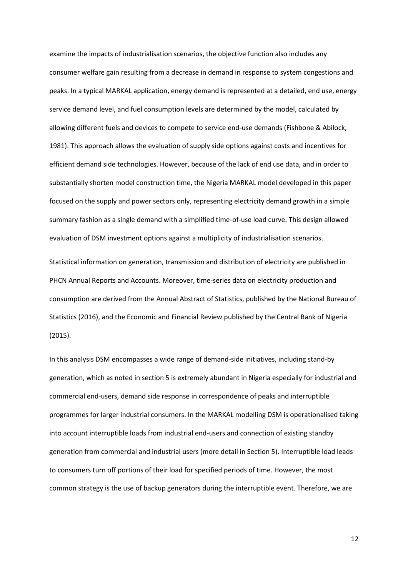examine the impacts of industrialisation scenarios, the objective function also includes any consumer welfare gain resulting from a decrease in demand in response to system congestions and peaks. In a typical MARKAL application, energy demand is represented at a detailed, end use, energy service demand level, and fuel consumption levels are determined by the model, calculated by allowing different fuels and devices to compete to service end-use demands (Fishbone & Abilock, 1981). This approach allows the evaluation of supply side options against costs and incentives for efficient demand side technologies. However, because of the lack of end use data, and in order to substantially shorten model construction time, the Nigeria MARKAL model developed in this paper focused on the supply and power sectors only, representing electricity demand growth in a simple summary fashion as a single demand with a simplified time-of-use load curve. This design allowed evaluation of DSM investment options against a multiplicity of industrialisation scenarios.

Statistical information on generation, transmission and distribution of electricity are published in PHCN Annual Reports and Accounts. Moreover, time-series data on electricity production and consumption are derived from the Annual Abstract of Statistics, published by the National Bureau of Statistics (2016), and the Economic and Financial Review published by the Central Bank of Nigeria (2015).

In this analysis DSM encompasses a wide range of demand-side initiatives, including stand-by generation, which as noted in section 5 is extremely abundant in Nigeria especially for industrial and commercial end-users, demand side response in correspondence of peaks and interruptible programmes for larger industrial consumers. In the MARKAL modelling DSM is operationalised taking into account interruptible loads from industrial end-users and connection of existing standby generation from commercial and industrial users (more detail in Section 5). Interruptible load leads to consumers turn off portions of their load for specified periods of time. However, the most common strategy is the use of backup generators during the interruptible event. Therefore, we are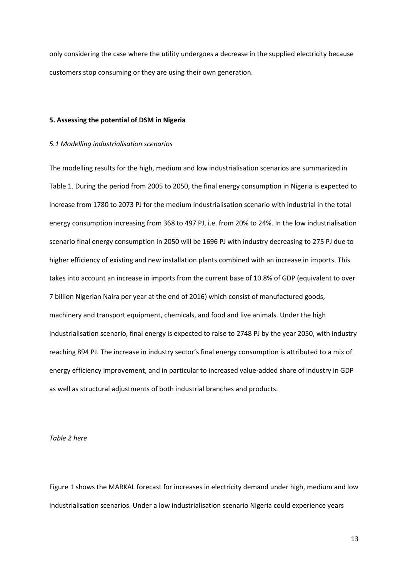only considering the case where the utility undergoes a decrease in the supplied electricity because customers stop consuming or they are using their own generation.

#### **5. Assessing the potential of DSM in Nigeria**

#### *5.1 Modelling industrialisation scenarios*

The modelling results for the high, medium and low industrialisation scenarios are summarized in Table 1. During the period from 2005 to 2050, the final energy consumption in Nigeria is expected to increase from 1780 to 2073 PJ for the medium industrialisation scenario with industrial in the total energy consumption increasing from 368 to 497 PJ, i.e. from 20% to 24%. In the low industrialisation scenario final energy consumption in 2050 will be 1696 PJ with industry decreasing to 275 PJ due to higher efficiency of existing and new installation plants combined with an increase in imports. This takes into account an increase in imports from the current base of 10.8% of GDP (equivalent to over 7 billion Nigerian Naira per year at the end of 2016) which consist of manufactured goods, machinery and transport equipment, chemicals, and food and live animals. Under the high industrialisation scenario, final energy is expected to raise to 2748 PJ by the year 2050, with industry reaching 894 PJ. The increase in industry sector's final energy consumption is attributed to a mix of energy efficiency improvement, and in particular to increased value-added share of industry in GDP as well as structural adjustments of both industrial branches and products.

*Table 2 here*

Figure 1 shows the MARKAL forecast for increases in electricity demand under high, medium and low industrialisation scenarios. Under a low industrialisation scenario Nigeria could experience years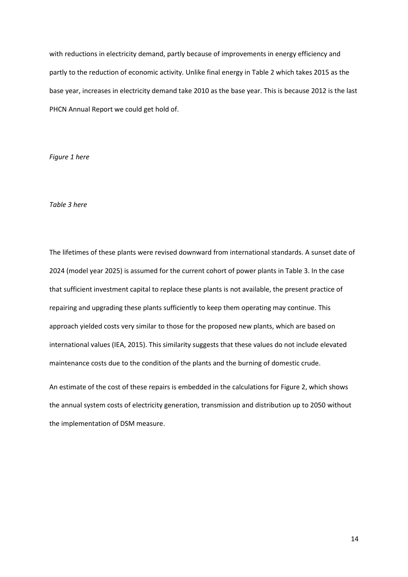with reductions in electricity demand, partly because of improvements in energy efficiency and partly to the reduction of economic activity. Unlike final energy in Table 2 which takes 2015 as the base year, increases in electricity demand take 2010 as the base year. This is because 2012 is the last PHCN Annual Report we could get hold of.

*Figure 1 here*

#### *Table 3 here*

The lifetimes of these plants were revised downward from international standards. A sunset date of 2024 (model year 2025) is assumed for the current cohort of power plants in Table 3. In the case that sufficient investment capital to replace these plants is not available, the present practice of repairing and upgrading these plants sufficiently to keep them operating may continue. This approach yielded costs very similar to those for the proposed new plants, which are based on international values (IEA, 2015). This similarity suggests that these values do not include elevated maintenance costs due to the condition of the plants and the burning of domestic crude.

An estimate of the cost of these repairs is embedded in the calculations for Figure 2, which shows the annual system costs of electricity generation, transmission and distribution up to 2050 without the implementation of DSM measure.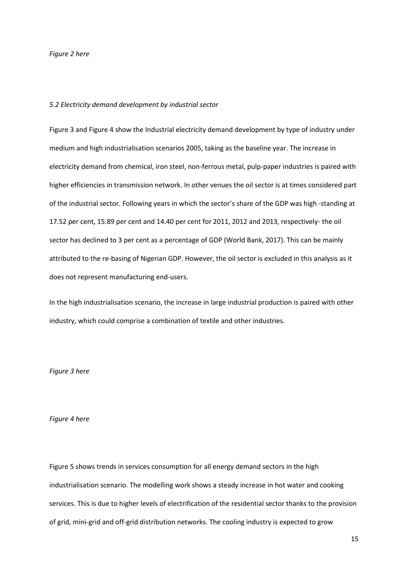#### *Figure 2 here*

#### *5.2 Electricity demand development by industrial sector*

Figure 3 and Figure 4 show the Industrial electricity demand development by type of industry under medium and high industrialisation scenarios 2005, taking as the baseline year. The increase in electricity demand from chemical, iron steel, non-ferrous metal, pulp-paper industries is paired with higher efficiencies in transmission network. In other venues the oil sector is at times considered part of the industrial sector. Following years in which the sector's share of the GDP was high -standing at 17.52 per cent, 15.89 per cent and 14.40 per cent for 2011, 2012 and 2013, respectively- the oil sector has declined to 3 per cent as a percentage of GDP (World Bank, 2017). This can be mainly attributed to the re-basing of Nigerian GDP. However, the oil sector is excluded in this analysis as it does not represent manufacturing end-users.

In the high industrialisation scenario, the increase in large industrial production is paired with other industry, which could comprise a combination of textile and other industries.

#### *Figure 3 here*

#### *Figure 4 here*

Figure 5 shows trends in services consumption for all energy demand sectors in the high industrialisation scenario. The modelling work shows a steady increase in hot water and cooking services. This is due to higher levels of electrification of the residential sector thanks to the provision of grid, mini-grid and off-grid distribution networks. The cooling industry is expected to grow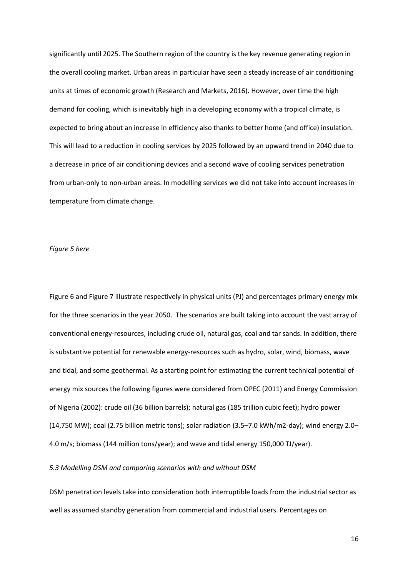significantly until 2025. The Southern region of the country is the key revenue generating region in the overall cooling market. Urban areas in particular have seen a steady increase of air conditioning units at times of economic growth (Research and Markets, 2016). However, over time the high demand for cooling, which is inevitably high in a developing economy with a tropical climate, is expected to bring about an increase in efficiency also thanks to better home (and office) insulation. This will lead to a reduction in cooling services by 2025 followed by an upward trend in 2040 due to a decrease in price of air conditioning devices and a second wave of cooling services penetration from urban-only to non-urban areas. In modelling services we did not take into account increases in temperature from climate change.

#### *Figure 5 here*

Figure 6 and Figure 7 illustrate respectively in physical units (PJ) and percentages primary energy mix for the three scenarios in the year 2050. The scenarios are built taking into account the vast array of conventional energy-resources, including crude oil, natural gas, coal and tar sands. In addition, there is substantive potential for renewable energy-resources such as hydro, solar, wind, biomass, wave and tidal, and some geothermal. As a starting point for estimating the current technical potential of energy mix sources the following figures were considered from OPEC (2011) and Energy Commission of Nigeria (2002): crude oil (36 billion barrels); natural gas (185 trillion cubic feet); hydro power (14,750 MW); coal (2.75 billion metric tons); solar radiation (3.5–7.0 kWh/m2-day); wind energy 2.0– 4.0 m/s; biomass (144 million tons/year); and wave and tidal energy 150,000 TJ/year).

#### *5.3 Modelling DSM and comparing scenarios with and without DSM*

DSM penetration levels take into consideration both interruptible loads from the industrial sector as well as assumed standby generation from commercial and industrial users. Percentages on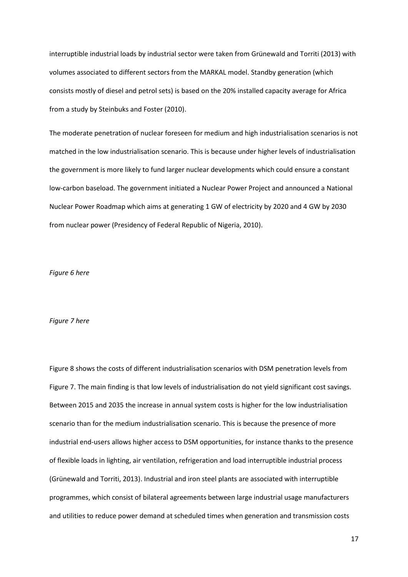interruptible industrial loads by industrial sector were taken from Grünewald and Torriti (2013) with volumes associated to different sectors from the MARKAL model. Standby generation (which consists mostly of diesel and petrol sets) is based on the 20% installed capacity average for Africa from a study by Steinbuks and Foster (2010).

The moderate penetration of nuclear foreseen for medium and high industrialisation scenarios is not matched in the low industrialisation scenario. This is because under higher levels of industrialisation the government is more likely to fund larger nuclear developments which could ensure a constant low-carbon baseload. The government initiated a Nuclear Power Project and announced a National Nuclear Power Roadmap which aims at generating 1 GW of electricity by 2020 and 4 GW by 2030 from nuclear power (Presidency of Federal Republic of Nigeria, 2010).

#### *Figure 6 here*

#### *Figure 7 here*

Figure 8 shows the costs of different industrialisation scenarios with DSM penetration levels from Figure 7. The main finding is that low levels of industrialisation do not yield significant cost savings. Between 2015 and 2035 the increase in annual system costs is higher for the low industrialisation scenario than for the medium industrialisation scenario. This is because the presence of more industrial end-users allows higher access to DSM opportunities, for instance thanks to the presence of flexible loads in lighting, air ventilation, refrigeration and load interruptible industrial process (Grünewald and Torriti, 2013). Industrial and iron steel plants are associated with interruptible programmes, which consist of bilateral agreements between large industrial usage manufacturers and utilities to reduce power demand at scheduled times when generation and transmission costs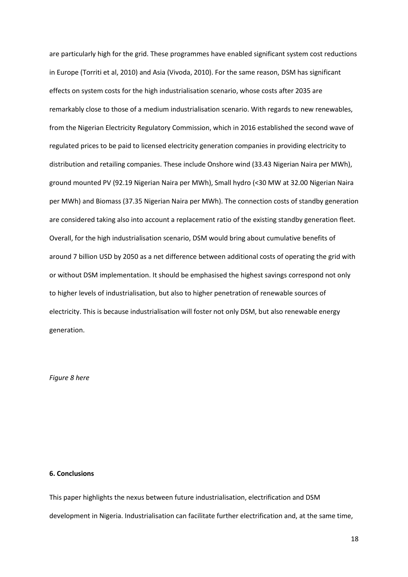are particularly high for the grid. These programmes have enabled significant system cost reductions in Europe (Torriti et al, 2010) and Asia (Vivoda, 2010). For the same reason, DSM has significant effects on system costs for the high industrialisation scenario, whose costs after 2035 are remarkably close to those of a medium industrialisation scenario. With regards to new renewables, from the Nigerian Electricity Regulatory Commission, which in 2016 established the second wave of regulated prices to be paid to licensed electricity generation companies in providing electricity to distribution and retailing companies. These include Onshore wind (33.43 Nigerian Naira per MWh), ground mounted PV (92.19 Nigerian Naira per MWh), Small hydro (<30 MW at 32.00 Nigerian Naira per MWh) and Biomass (37.35 Nigerian Naira per MWh). The connection costs of standby generation are considered taking also into account a replacement ratio of the existing standby generation fleet. Overall, for the high industrialisation scenario, DSM would bring about cumulative benefits of around 7 billion USD by 2050 as a net difference between additional costs of operating the grid with or without DSM implementation. It should be emphasised the highest savings correspond not only to higher levels of industrialisation, but also to higher penetration of renewable sources of electricity. This is because industrialisation will foster not only DSM, but also renewable energy generation.

#### *Figure 8 here*

#### **6. Conclusions**

This paper highlights the nexus between future industrialisation, electrification and DSM development in Nigeria. Industrialisation can facilitate further electrification and, at the same time,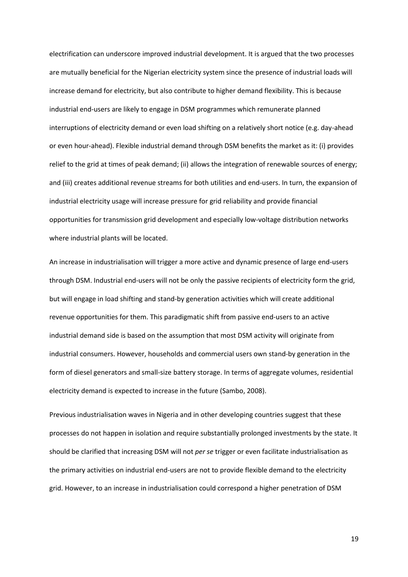electrification can underscore improved industrial development. It is argued that the two processes are mutually beneficial for the Nigerian electricity system since the presence of industrial loads will increase demand for electricity, but also contribute to higher demand flexibility. This is because industrial end-users are likely to engage in DSM programmes which remunerate planned interruptions of electricity demand or even load shifting on a relatively short notice (e.g. day-ahead or even hour-ahead). Flexible industrial demand through DSM benefits the market as it: (i) provides relief to the grid at times of peak demand; (ii) allows the integration of renewable sources of energy; and (iii) creates additional revenue streams for both utilities and end-users. In turn, the expansion of industrial electricity usage will increase pressure for grid reliability and provide financial opportunities for transmission grid development and especially low-voltage distribution networks where industrial plants will be located.

An increase in industrialisation will trigger a more active and dynamic presence of large end-users through DSM. Industrial end-users will not be only the passive recipients of electricity form the grid, but will engage in load shifting and stand-by generation activities which will create additional revenue opportunities for them. This paradigmatic shift from passive end-users to an active industrial demand side is based on the assumption that most DSM activity will originate from industrial consumers. However, households and commercial users own stand-by generation in the form of diesel generators and small-size battery storage. In terms of aggregate volumes, residential electricity demand is expected to increase in the future (Sambo, 2008).

Previous industrialisation waves in Nigeria and in other developing countries suggest that these processes do not happen in isolation and require substantially prolonged investments by the state. It should be clarified that increasing DSM will not *per se* trigger or even facilitate industrialisation as the primary activities on industrial end-users are not to provide flexible demand to the electricity grid. However, to an increase in industrialisation could correspond a higher penetration of DSM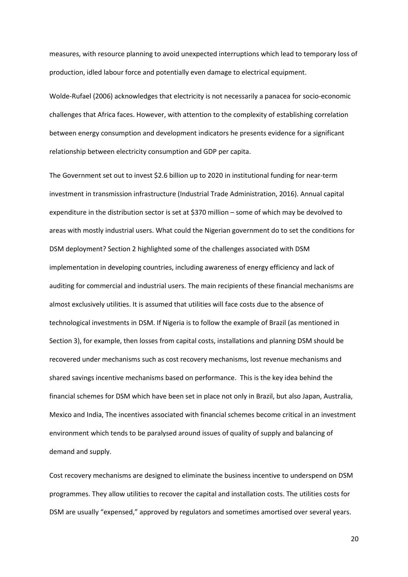measures, with resource planning to avoid unexpected interruptions which lead to temporary loss of production, idled labour force and potentially even damage to electrical equipment.

Wolde-Rufael (2006) acknowledges that electricity is not necessarily a panacea for socio-economic challenges that Africa faces. However, with attention to the complexity of establishing correlation between energy consumption and development indicators he presents evidence for a significant relationship between electricity consumption and GDP per capita.

The Government set out to invest \$2.6 billion up to 2020 in institutional funding for near-term investment in transmission infrastructure (Industrial Trade Administration, 2016). Annual capital expenditure in the distribution sector is set at \$370 million – some of which may be devolved to areas with mostly industrial users. What could the Nigerian government do to set the conditions for DSM deployment? Section 2 highlighted some of the challenges associated with DSM implementation in developing countries, including awareness of energy efficiency and lack of auditing for commercial and industrial users. The main recipients of these financial mechanisms are almost exclusively utilities. It is assumed that utilities will face costs due to the absence of technological investments in DSM. If Nigeria is to follow the example of Brazil (as mentioned in Section 3), for example, then losses from capital costs, installations and planning DSM should be recovered under mechanisms such as cost recovery mechanisms, lost revenue mechanisms and shared savings incentive mechanisms based on performance. This is the key idea behind the financial schemes for DSM which have been set in place not only in Brazil, but also Japan, Australia, Mexico and India, The incentives associated with financial schemes become critical in an investment environment which tends to be paralysed around issues of quality of supply and balancing of demand and supply.

Cost recovery mechanisms are designed to eliminate the business incentive to underspend on DSM programmes. They allow utilities to recover the capital and installation costs. The utilities costs for DSM are usually "expensed," approved by regulators and sometimes amortised over several years.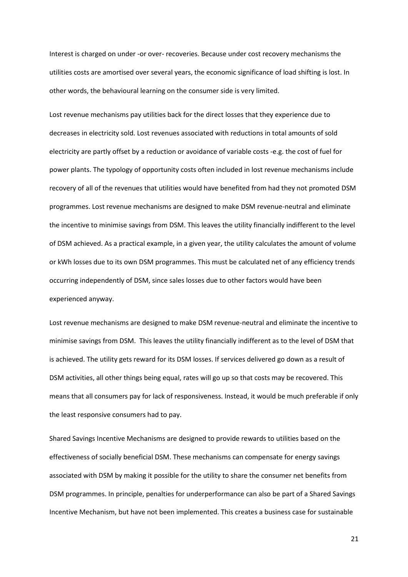Interest is charged on under -or over- recoveries. Because under cost recovery mechanisms the utilities costs are amortised over several years, the economic significance of load shifting is lost. In other words, the behavioural learning on the consumer side is very limited.

Lost revenue mechanisms pay utilities back for the direct losses that they experience due to decreases in electricity sold. Lost revenues associated with reductions in total amounts of sold electricity are partly offset by a reduction or avoidance of variable costs -e.g. the cost of fuel for power plants. The typology of opportunity costs often included in lost revenue mechanisms include recovery of all of the revenues that utilities would have benefited from had they not promoted DSM programmes. Lost revenue mechanisms are designed to make DSM revenue-neutral and eliminate the incentive to minimise savings from DSM. This leaves the utility financially indifferent to the level of DSM achieved. As a practical example, in a given year, the utility calculates the amount of volume or kWh losses due to its own DSM programmes. This must be calculated net of any efficiency trends occurring independently of DSM, since sales losses due to other factors would have been experienced anyway.

Lost revenue mechanisms are designed to make DSM revenue-neutral and eliminate the incentive to minimise savings from DSM. This leaves the utility financially indifferent as to the level of DSM that is achieved. The utility gets reward for its DSM losses. If services delivered go down as a result of DSM activities, all other things being equal, rates will go up so that costs may be recovered. This means that all consumers pay for lack of responsiveness. Instead, it would be much preferable if only the least responsive consumers had to pay.

Shared Savings Incentive Mechanisms are designed to provide rewards to utilities based on the effectiveness of socially beneficial DSM. These mechanisms can compensate for energy savings associated with DSM by making it possible for the utility to share the consumer net benefits from DSM programmes. In principle, penalties for underperformance can also be part of a Shared Savings Incentive Mechanism, but have not been implemented. This creates a business case for sustainable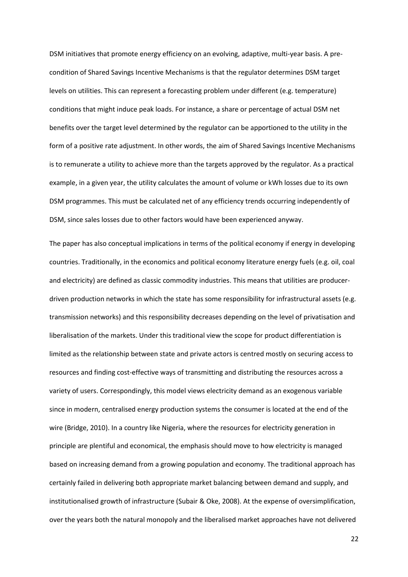DSM initiatives that promote energy efficiency on an evolving, adaptive, multi-year basis. A precondition of Shared Savings Incentive Mechanisms is that the regulator determines DSM target levels on utilities. This can represent a forecasting problem under different (e.g. temperature) conditions that might induce peak loads. For instance, a share or percentage of actual DSM net benefits over the target level determined by the regulator can be apportioned to the utility in the form of a positive rate adjustment. In other words, the aim of Shared Savings Incentive Mechanisms is to remunerate a utility to achieve more than the targets approved by the regulator. As a practical example, in a given year, the utility calculates the amount of volume or kWh losses due to its own DSM programmes. This must be calculated net of any efficiency trends occurring independently of DSM, since sales losses due to other factors would have been experienced anyway.

The paper has also conceptual implications in terms of the political economy if energy in developing countries. Traditionally, in the economics and political economy literature energy fuels (e.g. oil, coal and electricity) are defined as classic commodity industries. This means that utilities are producerdriven production networks in which the state has some responsibility for infrastructural assets (e.g. transmission networks) and this responsibility decreases depending on the level of privatisation and liberalisation of the markets. Under this traditional view the scope for product differentiation is limited as the relationship between state and private actors is centred mostly on securing access to resources and finding cost-effective ways of transmitting and distributing the resources across a variety of users. Correspondingly, this model views electricity demand as an exogenous variable since in modern, centralised energy production systems the consumer is located at the end of the wire (Bridge, 2010). In a country like Nigeria, where the resources for electricity generation in principle are plentiful and economical, the emphasis should move to how electricity is managed based on increasing demand from a growing population and economy. The traditional approach has certainly failed in delivering both appropriate market balancing between demand and supply, and institutionalised growth of infrastructure (Subair & Oke, 2008). At the expense of oversimplification, over the years both the natural monopoly and the liberalised market approaches have not delivered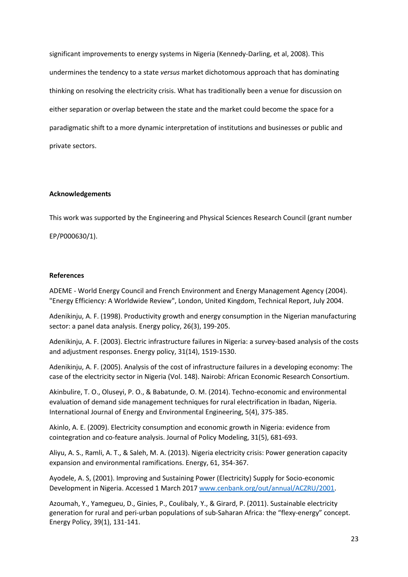significant improvements to energy systems in Nigeria (Kennedy-Darling, et al, 2008). This undermines the tendency to a state *versus* market dichotomous approach that has dominating thinking on resolving the electricity crisis. What has traditionally been a venue for discussion on either separation or overlap between the state and the market could become the space for a paradigmatic shift to a more dynamic interpretation of institutions and businesses or public and private sectors.

#### **Acknowledgements**

This work was supported by the Engineering and Physical Sciences Research Council (grant number

EP/P000630/1).

#### **References**

ADEME - World Energy Council and French Environment and Energy Management Agency (2004). "Energy Efficiency: A Worldwide Review", London, United Kingdom, Technical Report, July 2004.

Adenikinju, A. F. (1998). Productivity growth and energy consumption in the Nigerian manufacturing sector: a panel data analysis. Energy policy, 26(3), 199-205.

Adenikinju, A. F. (2003). Electric infrastructure failures in Nigeria: a survey-based analysis of the costs and adjustment responses. Energy policy, 31(14), 1519-1530.

Adenikinju, A. F. (2005). Analysis of the cost of infrastructure failures in a developing economy: The case of the electricity sector in Nigeria (Vol. 148). Nairobi: African Economic Research Consortium.

Akinbulire, T. O., Oluseyi, P. O., & Babatunde, O. M. (2014). Techno-economic and environmental evaluation of demand side management techniques for rural electrification in Ibadan, Nigeria. International Journal of Energy and Environmental Engineering, 5(4), 375-385.

Akinlo, A. E. (2009). Electricity consumption and economic growth in Nigeria: evidence from cointegration and co-feature analysis. Journal of Policy Modeling, 31(5), 681-693.

Aliyu, A. S., Ramli, A. T., & Saleh, M. A. (2013). Nigeria electricity crisis: Power generation capacity expansion and environmental ramifications. Energy, 61, 354-367.

Ayodele, A. S, (2001). Improving and Sustaining Power (Electricity) Supply for Socio-economic Development in Nigeria. Accessed 1 March 2017 [www.cenbank.org/out/annual/ACZRU/2001.](http://www.cenbank.org/out/annual/ACZRU/2001)

Azoumah, Y., Yamegueu, D., Ginies, P., Coulibaly, Y., & Girard, P. (2011). Sustainable electricity generation for rural and peri-urban populations of sub-Saharan Africa: the "flexy-energy" concept. Energy Policy, 39(1), 131-141.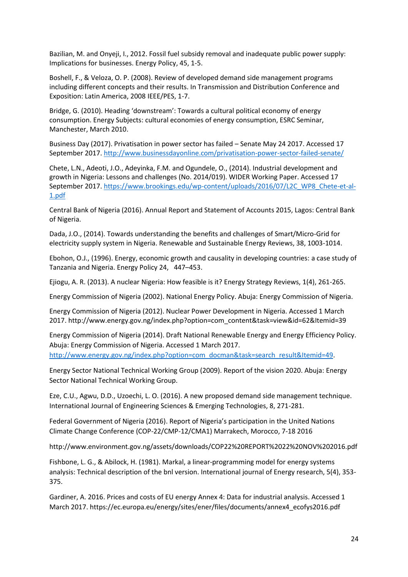Bazilian, M. and Onyeji, I., 2012. Fossil fuel subsidy removal and inadequate public power supply: Implications for businesses. Energy Policy, 45, 1-5.

Boshell, F., & Veloza, O. P. (2008). Review of developed demand side management programs including different concepts and their results. In Transmission and Distribution Conference and Exposition: Latin America, 2008 IEEE/PES, 1-7.

Bridge, G. (2010). Heading 'downstream': Towards a cultural political economy of energy consumption. Energy Subjects: cultural economies of energy consumption, ESRC Seminar, Manchester, March 2010.

Business Day (2017). Privatisation in power sector has failed – Senate May 24 2017. Accessed 17 September 2017[. http://www.businessdayonline.com/privatisation-power-sector-failed-senate/](http://www.businessdayonline.com/privatisation-power-sector-failed-senate/)

Chete, L.N., Adeoti, J.O., Adeyinka, F.M. and Ogundele, O., (2014). Industrial development and growth in Nigeria: Lessons and challenges (No. 2014/019). WIDER Working Paper. Accessed 17 September 2017[. https://www.brookings.edu/wp-content/uploads/2016/07/L2C\\_WP8\\_Chete-et-al-](https://www.brookings.edu/wp-content/uploads/2016/07/L2C_WP8_Chete-et-al-1.pdf)[1.pdf](https://www.brookings.edu/wp-content/uploads/2016/07/L2C_WP8_Chete-et-al-1.pdf)

Central Bank of Nigeria (2016). Annual Report and Statement of Accounts 2015, Lagos: Central Bank of Nigeria.

Dada, J.O., (2014). Towards understanding the benefits and challenges of Smart/Micro-Grid for electricity supply system in Nigeria. Renewable and Sustainable Energy Reviews, 38, 1003-1014.

Ebohon, O.J., (1996). Energy, economic growth and causality in developing countries: a case study of Tanzania and Nigeria. Energy Policy 24, 447–453.

Ejiogu, A. R. (2013). A nuclear Nigeria: How feasible is it? Energy Strategy Reviews, 1(4), 261-265.

Energy Commission of Nigeria (2002). National Energy Policy. Abuja: Energy Commission of Nigeria.

Energy Commission of Nigeria (2012). Nuclear Power Development in Nigeria. Accessed 1 March 2017. http://www.energy.gov.ng/index.php?option=com\_content&task=view&id=62&Itemid=39

Energy Commission of Nigeria (2014). Draft National Renewable Energy and Energy Efficiency Policy. Abuja: Energy Commission of Nigeria. Accessed 1 March 2017. [http://www.energy.gov.ng/index.php?option=com\\_docman&task=search\\_result&Itemid=49.](http://www.energy.gov.ng/index.php?option=com_docman&task=search_result&Itemid=49)

Energy Sector National Technical Working Group (2009). Report of the vision 2020. Abuja: Energy Sector National Technical Working Group.

Eze, C.U., Agwu, D.D., Uzoechi, L. O. (2016). A new proposed demand side management technique. International Journal of Engineering Sciences & Emerging Technologies, 8, 271-281.

Federal Government of Nigeria (2016). Report of Nigeria's participation in the United Nations Climate Change Conference (COP-22/CMP-12/CMA1) Marrakech, Morocco, 7-18 2016

http://www.environment.gov.ng/assets/downloads/COP22%20REPORT%2022%20NOV%202016.pdf

Fishbone, L. G., & Abilock, H. (1981). Markal, a linear-programming model for energy systems analysis: Technical description of the bnl version. International journal of Energy research, 5(4), 353- 375.

Gardiner, A. 2016. Prices and costs of EU energy Annex 4: Data for industrial analysis. Accessed 1 March 2017. https://ec.europa.eu/energy/sites/ener/files/documents/annex4\_ecofys2016.pdf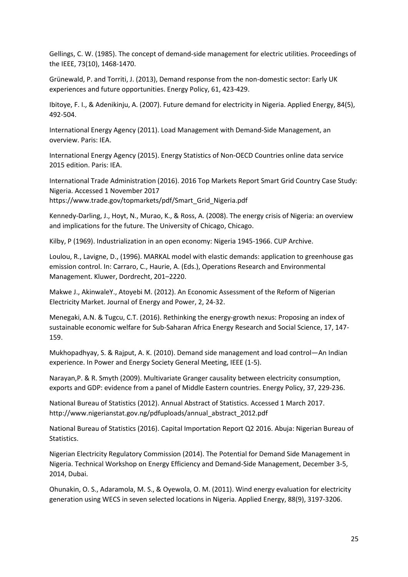Gellings, C. W. (1985). The concept of demand-side management for electric utilities. Proceedings of the IEEE, 73(10), 1468-1470.

Grünewald, P. and Torriti, J. (2013), Demand response from the non-domestic sector: Early UK experiences and future opportunities. Energy Policy, 61, 423-429.

Ibitoye, F. I., & Adenikinju, A. (2007). Future demand for electricity in Nigeria. Applied Energy, 84(5), 492-504.

International Energy Agency (2011). Load Management with Demand-Side Management, an overview. Paris: IEA.

International Energy Agency (2015). Energy Statistics of Non-OECD Countries online data service 2015 edition. Paris: IEA.

International Trade Administration (2016). 2016 Top Markets Report Smart Grid Country Case Study: Nigeria. Accessed 1 November 2017 https://www.trade.gov/topmarkets/pdf/Smart\_Grid\_Nigeria.pdf

Kennedy-Darling, J., Hoyt, N., Murao, K., & Ross, A. (2008). The energy crisis of Nigeria: an overview and implications for the future. The University of Chicago, Chicago.

Kilby, P (1969). Industrialization in an open economy: Nigeria 1945-1966. CUP Archive.

Loulou, R., Lavigne, D., (1996). MARKAL model with elastic demands: application to greenhouse gas emission control. In: Carraro, C., Haurie, A. (Eds.), Operations Research and Environmental Management. Kluwer, Dordrecht, 201–2220.

Makwe J., AkinwaleY., Atoyebi M. (2012). An Economic Assessment of the Reform of Nigerian Electricity Market. Journal of Energy and Power, 2, 24-32.

Menegaki, A.N. & Tugcu, C.T. (2016). Rethinking the energy-growth nexus: Proposing an index of sustainable economic welfare for Sub-Saharan Africa Energy Research and Social Science, 17, 147- 159.

Mukhopadhyay, S. & Rajput, A. K. (2010). Demand side management and load control—An Indian experience. In Power and Energy Society General Meeting, IEEE (1-5).

Narayan,P. & R. Smyth (2009). Multivariate Granger causality between electricity consumption, exports and GDP: evidence from a panel of Middle Eastern countries. Energy Policy, 37, 229-236.

National Bureau of Statistics (2012). Annual Abstract of Statistics. Accessed 1 March 2017. http://www.nigerianstat.gov.ng/pdfuploads/annual\_abstract\_2012.pdf

National Bureau of Statistics (2016). Capital Importation Report Q2 2016. Abuja: Nigerian Bureau of Statistics.

Nigerian Electricity Regulatory Commission (2014). The Potential for Demand Side Management in Nigeria. Technical Workshop on Energy Efficiency and Demand-Side Management, December 3-5, 2014, Dubai.

Ohunakin, O. S., Adaramola, M. S., & Oyewola, O. M. (2011). Wind energy evaluation for electricity generation using WECS in seven selected locations in Nigeria. Applied Energy, 88(9), 3197-3206.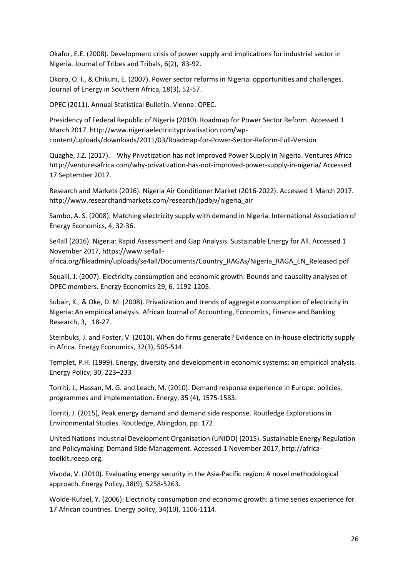Okafor, E.E. (2008). Development crisis of power supply and implications for industrial sector in Nigeria. Journal of Tribes and Tribals, 6(2), 83-92.

Okoro, O. I., & Chikuni, E. (2007). Power sector reforms in Nigeria: opportunities and challenges. Journal of Energy in Southern Africa, 18(3), 52-57.

OPEC (2011). Annual Statistical Bulletin. Vienna: OPEC.

Presidency of Federal Republic of Nigeria (2010). Roadmap for Power Sector Reform. Accessed 1 March 2017. http://www.nigeriaelectricityprivatisation.com/wpcontent/uploads/downloads/2011/03/Roadmap-for-Power-Sector-Reform-Full-Version

Quaghe, J.Z. (2017). Why Privatization has not Improved Power Supply in Nigeria. Ventures Africa http://venturesafrica.com/why-privatization-has-not-improved-power-supply-in-nigeria/ Accessed 17 September 2017.

Research and Markets (2016). Nigeria Air Conditioner Market (2016-2022). Accessed 1 March 2017. http://www.researchandmarkets.com/research/jpdbjv/nigeria\_air

Sambo, A. S. (2008). Matching electricity supply with demand in Nigeria. International Association of Energy Economics, 4, 32-36.

Se4all (2016). Nigeria: Rapid Assessment and Gap Analysis. Sustainable Energy for All. Accessed 1 November 2017, https://www.se4all-

africa.org/fileadmin/uploads/se4all/Documents/Country\_RAGAs/Nigeria\_RAGA\_EN\_Released.pdf

Squalli, J. (2007). Electricity consumption and economic growth: Bounds and causality analyses of OPEC members. Energy Economics 29, 6, 1192-1205.

Subair, K., & Oke, D. M. (2008). Privatization and trends of aggregate consumption of electricity in Nigeria: An empirical analysis. African Journal of Accounting, Economics, Finance and Banking Research, 3, 18-27.

Steinbuks, J. and Foster, V. (2010). When do firms generate? Evidence on in-house electricity supply in Africa. Energy Economics, 32(3), 505-514.

Templet, P.H. (1999). Energy, diversity and development in economic systems; an empirical analysis. Energy Policy, 30, 223–233

Torriti, J., Hassan, M. G. and Leach, M. (2010). Demand response experience in Europe: policies, programmes and implementation. Energy, 35 (4), 1575-1583.

Torriti, J. (2015), Peak energy demand and demand side response. Routledge Explorations in Environmental Studies. Routledge, Abingdon, pp. 172.

United Nations Industrial Development Organisation (UNIDO) (2015). Sustainable Energy Regulation and Policymaking: Demand Side Management. Accessed 1 November 2017, http://africatoolkit.reeep.org.

Vivoda, V. (2010). Evaluating energy security in the Asia-Pacific region: A novel methodological approach. Energy Policy, 38(9), 5258-5263.

Wolde-Rufael, Y. (2006). Electricity consumption and economic growth: a time series experience for 17 African countries. Energy policy, 34(10), 1106-1114.